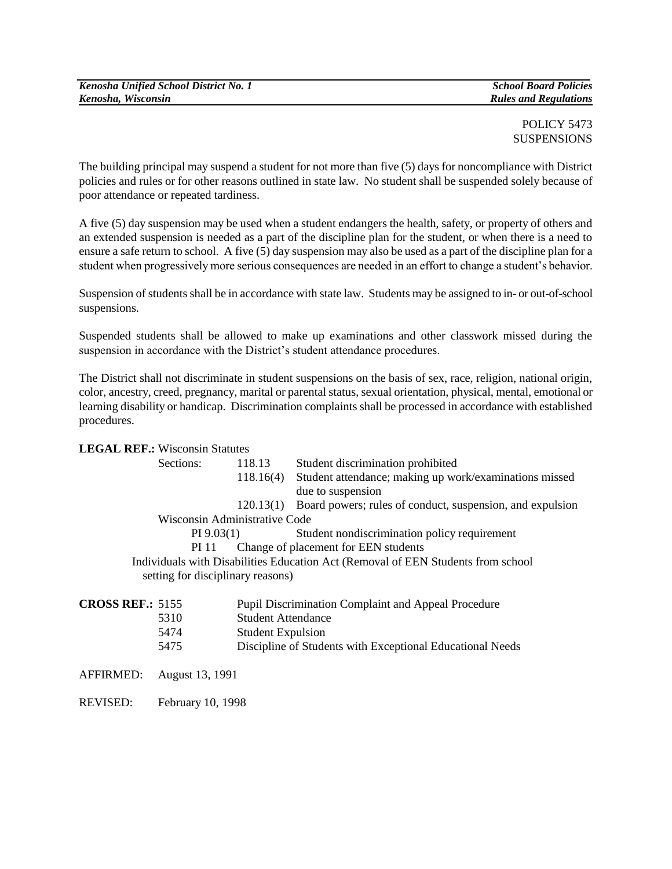## POLICY 5473 **SUSPENSIONS**

The building principal may suspend a student for not more than five (5) days for noncompliance with District policies and rules or for other reasons outlined in state law. No student shall be suspended solely because of poor attendance or repeated tardiness.

A five (5) day suspension may be used when a student endangers the health, safety, or property of others and an extended suspension is needed as a part of the discipline plan for the student, or when there is a need to ensure a safe return to school. A five (5) day suspension may also be used as a part of the discipline plan for a student when progressively more serious consequences are needed in an effort to change a student's behavior.

Suspension of students shall be in accordance with state law. Students may be assigned to in- or out-of-school suspensions.

Suspended students shall be allowed to make up examinations and other classwork missed during the suspension in accordance with the District's student attendance procedures.

The District shall not discriminate in student suspensions on the basis of sex, race, religion, national origin, color, ancestry, creed, pregnancy, marital or parental status, sexual orientation, physical, mental, emotional or learning disability or handicap. Discrimination complaints shall be processed in accordance with established procedures.

## **LEGAL REF.:** Wisconsin Statutes

|                                                                                  | Sections:                         | 118.13                    | Student discrimination prohibited                          |
|----------------------------------------------------------------------------------|-----------------------------------|---------------------------|------------------------------------------------------------|
|                                                                                  |                                   | 118.16(4)                 | Student attendance; making up work/examinations missed     |
|                                                                                  |                                   |                           | due to suspension                                          |
|                                                                                  |                                   | 120.13(1)                 | Board powers; rules of conduct, suspension, and expulsion  |
| Wisconsin Administrative Code                                                    |                                   |                           |                                                            |
| $PI\,9.03(1)$<br>PI 11                                                           |                                   |                           | Student nondiscrimination policy requirement               |
|                                                                                  |                                   |                           | Change of placement for EEN students                       |
| Individuals with Disabilities Education Act (Removal of EEN Students from school |                                   |                           |                                                            |
|                                                                                  | setting for disciplinary reasons) |                           |                                                            |
| <b>CROSS REF.: 5155</b>                                                          |                                   |                           | <b>Pupil Discrimination Complaint and Appeal Procedure</b> |
|                                                                                  | 5310                              | <b>Student Attendance</b> |                                                            |
|                                                                                  | 5474                              | <b>Student Expulsion</b>  |                                                            |
|                                                                                  | 5475                              |                           | Discipline of Students with Exceptional Educational Needs  |
| <b>AFFIRMED:</b>                                                                 | August 13, 1991                   |                           |                                                            |
| <b>REVISED:</b>                                                                  | February 10, 1998                 |                           |                                                            |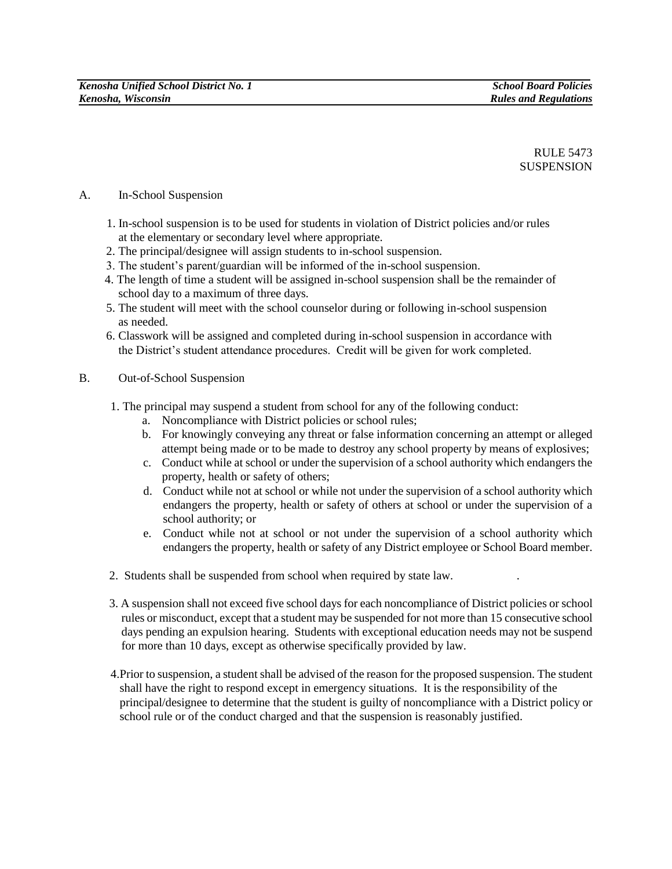RULE 5473 SUSPENSION

## A. In-School Suspension

- 1. In-school suspension is to be used for students in violation of District policies and/or rules at the elementary or secondary level where appropriate.
- 2. The principal/designee will assign students to in-school suspension.
- 3. The student's parent/guardian will be informed of the in-school suspension.
- 4. The length of time a student will be assigned in-school suspension shall be the remainder of school day to a maximum of three days.
- 5. The student will meet with the school counselor during or following in-school suspension as needed.
- 6. Classwork will be assigned and completed during in-school suspension in accordance with the District's student attendance procedures. Credit will be given for work completed.
- B. Out-of-School Suspension
	- 1. The principal may suspend a student from school for any of the following conduct:
		- a. Noncompliance with District policies or school rules;
		- b. For knowingly conveying any threat or false information concerning an attempt or alleged attempt being made or to be made to destroy any school property by means of explosives;
		- c. Conduct while at school or under the supervision of a school authority which endangers the property, health or safety of others;
		- d. Conduct while not at school or while not under the supervision of a school authority which endangers the property, health or safety of others at school or under the supervision of a school authority; or
		- e. Conduct while not at school or not under the supervision of a school authority which endangers the property, health or safety of any District employee or School Board member.
	- 2. Students shall be suspended from school when required by state law. .
	- 3. A suspension shall not exceed five school days for each noncompliance of District policies or school rules or misconduct, except that a student may be suspended for not more than 15 consecutive school days pending an expulsion hearing. Students with exceptional education needs may not be suspend for more than 10 days, except as otherwise specifically provided by law.
	- 4.Prior to suspension, a student shall be advised of the reason for the proposed suspension. The student shall have the right to respond except in emergency situations. It is the responsibility of the principal/designee to determine that the student is guilty of noncompliance with a District policy or school rule or of the conduct charged and that the suspension is reasonably justified.